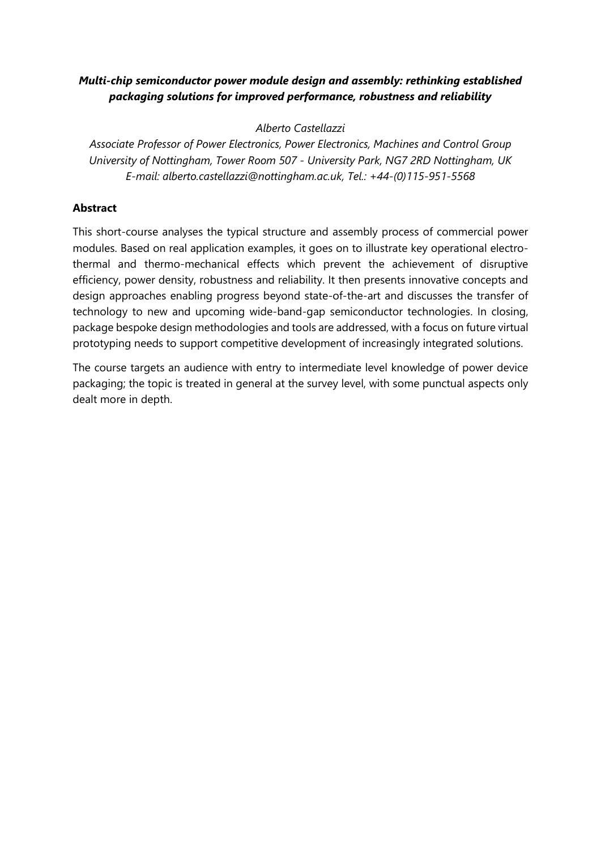## *Multi-chip semiconductor power module design and assembly: rethinking established packaging solutions for improved performance, robustness and reliability*

*Alberto Castellazzi*

*Associate Professor of Power Electronics, Power Electronics, Machines and Control Group University of Nottingham, Tower Room 507 - University Park, NG7 2RD Nottingham, UK E-mail: alberto.castellazzi@nottingham.ac.uk, Tel.: +44-(0)115-951-5568*

## **Abstract**

This short-course analyses the typical structure and assembly process of commercial power modules. Based on real application examples, it goes on to illustrate key operational electrothermal and thermo-mechanical effects which prevent the achievement of disruptive efficiency, power density, robustness and reliability. It then presents innovative concepts and design approaches enabling progress beyond state-of-the-art and discusses the transfer of technology to new and upcoming wide-band-gap semiconductor technologies. In closing, package bespoke design methodologies and tools are addressed, with a focus on future virtual prototyping needs to support competitive development of increasingly integrated solutions.

The course targets an audience with entry to intermediate level knowledge of power device packaging; the topic is treated in general at the survey level, with some punctual aspects only dealt more in depth.